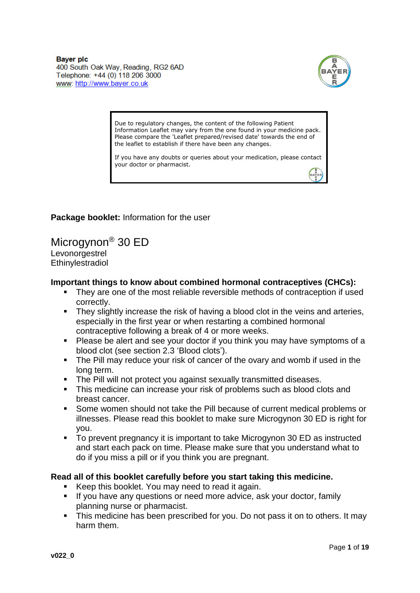**Baver plc** 400 South Oak Way, Reading, RG2 6AD Telephone: +44 (0) 118 206 3000 www: http://www.baver.co.uk



Due to regulatory changes, the content of the following Patient Information Leaflet may vary from the one found in your medicine pack. Please compare the 'Leaflet prepared/revised date' towards the end of the leaflet to establish if there have been any changes.

If you have any doubts or queries about your medication, please contact your doctor or pharmacist.

**Package booklet:** Information for the user

Microgynon® 30 ED Levonorgestrel **Ethinylestradiol** 

#### **Important things to know about combined hormonal contraceptives (CHCs):**

- They are one of the most reliable reversible methods of contraception if used correctly.
- They slightly increase the risk of having a blood clot in the veins and arteries, especially in the first year or when restarting a combined hormonal contraceptive following a break of 4 or more weeks.
- Please be alert and see your doctor if you think you may have symptoms of a blood clot (see section 2.3 'Blood clots').
- The Pill may reduce your risk of cancer of the ovary and womb if used in the long term.
- **The Pill will not protect you against sexually transmitted diseases.**
- This medicine can increase your risk of problems such as blood clots and breast cancer.
- Some women should not take the Pill because of current medical problems or illnesses. Please read this booklet to make sure Microgynon 30 ED is right for you.
- To prevent pregnancy it is important to take Microgynon 30 ED as instructed and start each pack on time. Please make sure that you understand what to do if you miss a pill or if you think you are pregnant.

### **Read all of this booklet carefully before you start taking this medicine.**

- Keep this booklet. You may need to read it again.
- If you have any questions or need more advice, ask your doctor, family planning nurse or pharmacist.
- This medicine has been prescribed for you. Do not pass it on to others. It may harm them.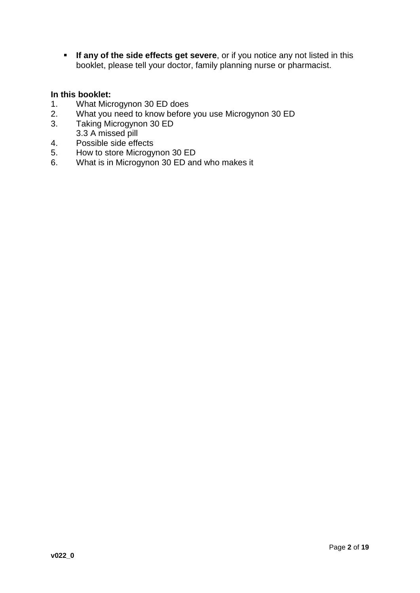**If any of the side effects get severe**, or if you notice any not listed in this booklet, please tell your doctor, family planning nurse or pharmacist.

## **In this booklet:**

- 1. What Microgynon 30 ED does
- 2. What you need to know before you use Microgynon 30 ED
- 3. Taking Microgynon 30 ED
- 3.3 A missed pill
- 4. Possible side effects
- 5. How to store Microgynon 30 ED
- 6. What is in Microgynon 30 ED and who makes it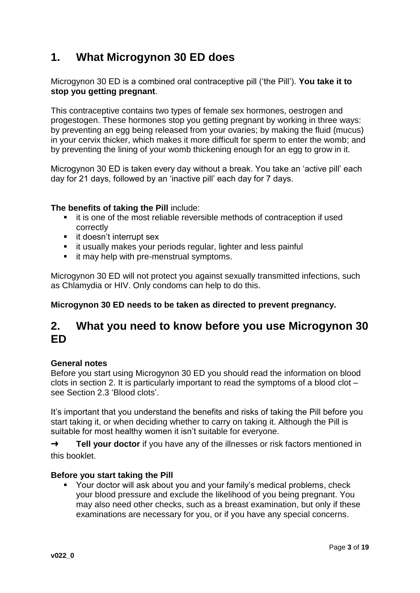# **1. What Microgynon 30 ED does**

Microgynon 30 ED is a combined oral contraceptive pill ('the Pill'). **You take it to stop you getting pregnant**.

This contraceptive contains two types of female sex hormones, oestrogen and progestogen. These hormones stop you getting pregnant by working in three ways: by preventing an egg being released from your ovaries; by making the fluid (mucus) in your cervix thicker, which makes it more difficult for sperm to enter the womb; and by preventing the lining of your womb thickening enough for an egg to grow in it.

Microgynon 30 ED is taken every day without a break. You take an 'active pill' each day for 21 days, followed by an 'inactive pill' each day for 7 days.

### **The benefits of taking the Pill** include:

- it is one of the most reliable reversible methods of contraception if used correctly
- **i** it doesn't interrupt sex
- **i** it usually makes your periods regular, lighter and less painful
- **i** it may help with pre-menstrual symptoms.

Microgynon 30 ED will not protect you against sexually transmitted infections, such as Chlamydia or HIV. Only condoms can help to do this.

### **Microgynon 30 ED needs to be taken as directed to prevent pregnancy.**

# **2. What you need to know before you use Microgynon 30 ED**

#### **General notes**

Before you start using Microgynon 30 ED you should read the information on blood clots in section 2. It is particularly important to read the symptoms of a blood clot – see Section 2.3 'Blood clots'.

It's important that you understand the benefits and risks of taking the Pill before you start taking it, or when deciding whether to carry on taking it. Although the Pill is suitable for most healthy women it isn't suitable for everyone.

→ **Tell your doctor** if you have any of the illnesses or risk factors mentioned in this booklet.

#### **Before you start taking the Pill**

 Your doctor will ask about you and your family's medical problems, check your blood pressure and exclude the likelihood of you being pregnant. You may also need other checks, such as a breast examination, but only if these examinations are necessary for you, or if you have any special concerns.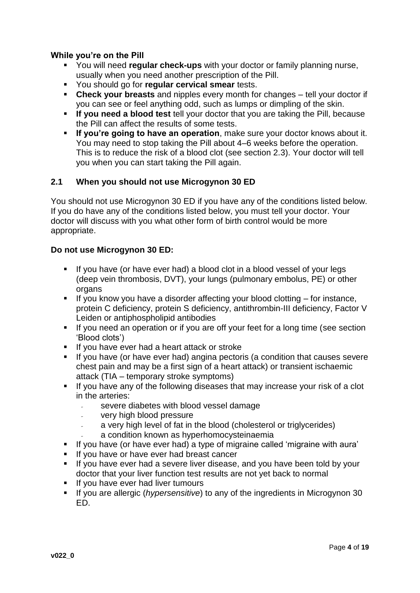## **While you're on the Pill**

- You will need **regular check-ups** with your doctor or family planning nurse, usually when you need another prescription of the Pill.
- You should go for **regular cervical smear** tests.
- **Check your breasts** and nipples every month for changes tell your doctor if you can see or feel anything odd, such as lumps or dimpling of the skin.
- **If you need a blood test** tell your doctor that you are taking the Pill, because the Pill can affect the results of some tests.
- **If you're going to have an operation**, make sure your doctor knows about it. You may need to stop taking the Pill about 4–6 weeks before the operation. This is to reduce the risk of a blood clot (see section 2.3). Your doctor will tell you when you can start taking the Pill again.

## **2.1 When you should not use Microgynon 30 ED**

You should not use Microgynon 30 ED if you have any of the conditions listed below. If you do have any of the conditions listed below, you must tell your doctor. Your doctor will discuss with you what other form of birth control would be more appropriate.

### **Do not use Microgynon 30 ED:**

- If you have (or have ever had) a blood clot in a blood vessel of your legs (deep vein thrombosis, DVT), your lungs (pulmonary embolus, PE) or other organs
- If you know you have a disorder affecting your blood clotting  $-$  for instance, protein C deficiency, protein S deficiency, antithrombin-III deficiency, Factor V Leiden or antiphospholipid antibodies
- If you need an operation or if you are off your feet for a long time (see section 'Blood clots')
- If you have ever had a heart attack or stroke
- If you have (or have ever had) angina pectoris (a condition that causes severe chest pain and may be a first sign of a heart attack) or transient ischaemic attack (TIA – temporary stroke symptoms)
- If you have any of the following diseases that may increase your risk of a clot in the arteries:
	- severe diabetes with blood vessel damage
	- very high blood pressure
	- a very high level of fat in the blood (cholesterol or triglycerides)
	- a condition known as hyperhomocysteinaemia
- If you have (or have ever had) a type of migraine called 'migraine with aura'
- If you have or have ever had breast cancer
- If you have ever had a severe liver disease, and you have been told by your doctor that your liver function test results are not yet back to normal
- **If you have ever had liver tumours**
- If you are allergic (*hypersensitive*) to any of the ingredients in Microgynon 30 ED.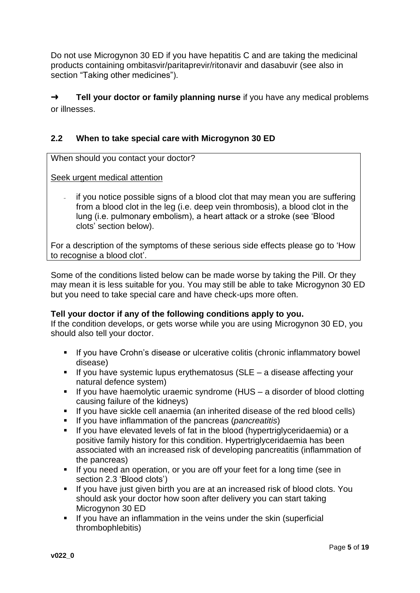Do not use Microgynon 30 ED if you have hepatitis C and are taking the medicinal products containing ombitasvir/paritaprevir/ritonavir and dasabuvir (see also in section "Taking other medicines").

➜ **Tell your doctor or family planning nurse** if you have any medical problems or illnesses.

# **2.2 When to take special care with Microgynon 30 ED**

When should you contact your doctor?

Seek urgent medical attention

if you notice possible signs of a blood clot that may mean you are suffering from a blood clot in the leg (i.e. deep vein thrombosis), a blood clot in the lung (i.e. pulmonary embolism), a heart attack or a stroke (see 'Blood clots' section below).

For a description of the symptoms of these serious side effects please go to 'How to recognise a blood clot'.

Some of the conditions listed below can be made worse by taking the Pill. Or they may mean it is less suitable for you. You may still be able to take Microgynon 30 ED but you need to take special care and have check-ups more often.

### **Tell your doctor if any of the following conditions apply to you.**

If the condition develops, or gets worse while you are using Microgynon 30 ED, you should also tell your doctor.

- If you have Crohn's disease or ulcerative colitis (chronic inflammatory bowel disease)
- $\blacksquare$  If you have systemic lupus erythematosus (SLE a disease affecting your natural defence system)
- If you have haemolytic uraemic syndrome ( $HUS a$  disorder of blood clotting causing failure of the kidneys)
- If you have sickle cell anaemia (an inherited disease of the red blood cells)
- If you have inflammation of the pancreas (*pancreatitis*)
- If you have elevated levels of fat in the blood (hypertriglyceridaemia) or a positive family history for this condition. Hypertriglyceridaemia has been associated with an increased risk of developing pancreatitis (inflammation of the pancreas)
- **If you need an operation, or you are off your feet for a long time (see in** section 2.3 'Blood clots')
- If you have just given birth you are at an increased risk of blood clots. You should ask your doctor how soon after delivery you can start taking Microgynon 30 ED
- **If you have an inflammation in the veins under the skin (superficial** thrombophlebitis)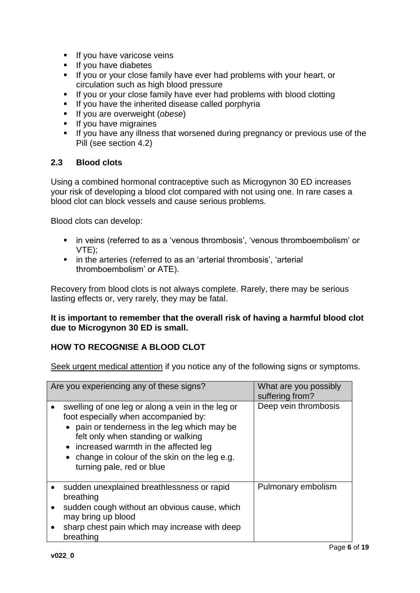- **If you have varicose veins**
- **If you have diabetes**
- If you or your close family have ever had problems with your heart, or circulation such as high blood pressure
- **If you or your close family have ever had problems with blood clotting**
- If you have the inherited disease called porphyria
- If you are overweight (*obese*)
- **If you have migraines**
- If you have any illness that worsened during pregnancy or previous use of the Pill (see section 4.2)

## **2.3 Blood clots**

Using a combined hormonal contraceptive such as Microgynon 30 ED increases your risk of developing a blood clot compared with not using one. In rare cases a blood clot can block vessels and cause serious problems.

Blood clots can develop:

- **in veins (referred to as a 'venous thrombosis', 'venous thromboembolism' or** VTE);
- in the arteries (referred to as an 'arterial thrombosis', 'arterial thromboembolism' or ATE).

Recovery from blood clots is not always complete. Rarely, there may be serious lasting effects or, very rarely, they may be fatal.

### **It is important to remember that the overall risk of having a harmful blood clot due to Microgynon 30 ED is small.**

## **HOW TO RECOGNISE A BLOOD CLOT**

Seek urgent medical attention if you notice any of the following signs or symptoms.

| Are you experiencing any of these signs? |                                                                                                                                                                                                                                                                                                          | What are you possibly<br>suffering from? |
|------------------------------------------|----------------------------------------------------------------------------------------------------------------------------------------------------------------------------------------------------------------------------------------------------------------------------------------------------------|------------------------------------------|
|                                          | swelling of one leg or along a vein in the leg or<br>foot especially when accompanied by:<br>• pain or tenderness in the leg which may be<br>felt only when standing or walking<br>• increased warmth in the affected leg<br>• change in colour of the skin on the leg e.g.<br>turning pale, red or blue | Deep vein thrombosis                     |
|                                          | sudden unexplained breathlessness or rapid<br>breathing<br>sudden cough without an obvious cause, which<br>may bring up blood<br>sharp chest pain which may increase with deep<br>breathing                                                                                                              | Pulmonary embolism                       |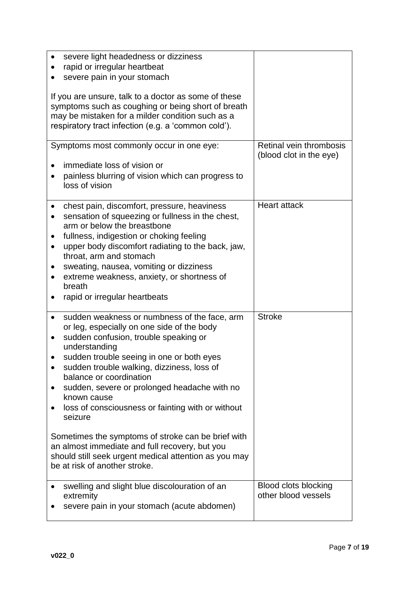| severe light headedness or dizziness<br>rapid or irregular heartbeat<br>severe pain in your stomach<br>If you are unsure, talk to a doctor as some of these<br>symptoms such as coughing or being short of breath<br>may be mistaken for a milder condition such as a<br>respiratory tract infection (e.g. a 'common cold').                                                                                                                                                                                                                                                                                |                                                    |
|-------------------------------------------------------------------------------------------------------------------------------------------------------------------------------------------------------------------------------------------------------------------------------------------------------------------------------------------------------------------------------------------------------------------------------------------------------------------------------------------------------------------------------------------------------------------------------------------------------------|----------------------------------------------------|
| Symptoms most commonly occur in one eye:<br>immediate loss of vision or<br>painless blurring of vision which can progress to<br>loss of vision                                                                                                                                                                                                                                                                                                                                                                                                                                                              | Retinal vein thrombosis<br>(blood clot in the eye) |
| chest pain, discomfort, pressure, heaviness<br>sensation of squeezing or fullness in the chest,<br>arm or below the breastbone<br>fullness, indigestion or choking feeling<br>upper body discomfort radiating to the back, jaw,<br>throat, arm and stomach<br>sweating, nausea, vomiting or dizziness<br>extreme weakness, anxiety, or shortness of<br>breath<br>rapid or irregular heartbeats                                                                                                                                                                                                              | <b>Heart attack</b>                                |
| sudden weakness or numbness of the face, arm<br>or leg, especially on one side of the body<br>sudden confusion, trouble speaking or<br>understanding<br>sudden trouble seeing in one or both eyes<br>sudden trouble walking, dizziness, loss of<br>balance or coordination<br>sudden, severe or prolonged headache with no<br>known cause<br>loss of consciousness or fainting with or without<br>seizure<br>Sometimes the symptoms of stroke can be brief with<br>an almost immediate and full recovery, but you<br>should still seek urgent medical attention as you may<br>be at risk of another stroke. | <b>Stroke</b>                                      |
| swelling and slight blue discolouration of an<br>extremity<br>severe pain in your stomach (acute abdomen)                                                                                                                                                                                                                                                                                                                                                                                                                                                                                                   | <b>Blood clots blocking</b><br>other blood vessels |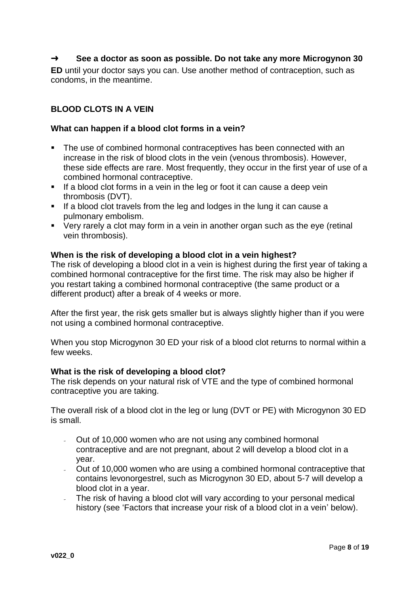## ➜ **See a doctor as soon as possible. Do not take any more Microgynon 30**

**ED** until your doctor says you can. Use another method of contraception, such as condoms, in the meantime.

### **BLOOD CLOTS IN A VEIN**

#### **What can happen if a blood clot forms in a vein?**

- The use of combined hormonal contraceptives has been connected with an increase in the risk of blood clots in the vein (venous thrombosis). However, these side effects are rare. Most frequently, they occur in the first year of use of a combined hormonal contraceptive.
- **If a blood clot forms in a vein in the leg or foot it can cause a deep vein** thrombosis (DVT).
- If a blood clot travels from the leg and lodges in the lung it can cause a pulmonary embolism.
- Very rarely a clot may form in a vein in another organ such as the eye (retinal vein thrombosis).

#### **When is the risk of developing a blood clot in a vein highest?**

The risk of developing a blood clot in a vein is highest during the first year of taking a combined hormonal contraceptive for the first time. The risk may also be higher if you restart taking a combined hormonal contraceptive (the same product or a different product) after a break of 4 weeks or more.

After the first year, the risk gets smaller but is always slightly higher than if you were not using a combined hormonal contraceptive.

When you stop Microgynon 30 ED your risk of a blood clot returns to normal within a few weeks.

#### **What is the risk of developing a blood clot?**

The risk depends on your natural risk of VTE and the type of combined hormonal contraceptive you are taking.

The overall risk of a blood clot in the leg or lung (DVT or PE) with Microgynon 30 ED is small.

- Out of 10,000 women who are not using any combined hormonal contraceptive and are not pregnant, about 2 will develop a blood clot in a year.
- Out of 10,000 women who are using a combined hormonal contraceptive that contains levonorgestrel, such as Microgynon 30 ED, about 5-7 will develop a blood clot in a year.
- The risk of having a blood clot will vary according to your personal medical history (see 'Factors that increase your risk of a blood clot in a vein' below).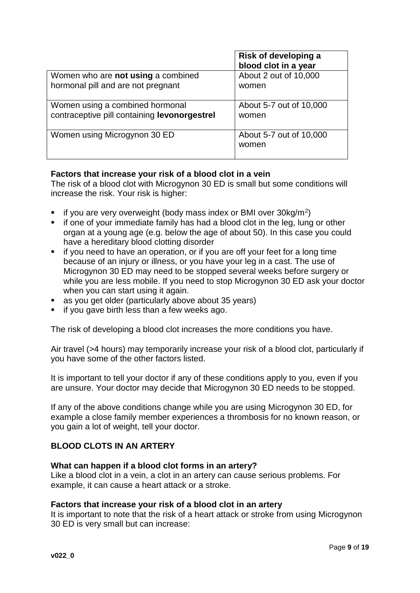|                                              | Risk of developing a<br>blood clot in a year |
|----------------------------------------------|----------------------------------------------|
| Women who are not using a combined           | About 2 out of 10,000                        |
| hormonal pill and are not pregnant           | women                                        |
| Women using a combined hormonal              | About 5-7 out of 10,000                      |
| contraceptive pill containing levonorgestrel | women                                        |
| Women using Microgynon 30 ED                 | About 5-7 out of 10,000<br>women             |

## **Factors that increase your risk of a blood clot in a vein**

The risk of a blood clot with Microgynon 30 ED is small but some conditions will increase the risk. Your risk is higher:

- $\blacksquare$  if you are very overweight (body mass index or BMI over 30kg/m<sup>2</sup>)
- **if one of your immediate family has had a blood clot in the leg, lung or other** organ at a young age (e.g. below the age of about 50). In this case you could have a hereditary blood clotting disorder
- **i** if you need to have an operation, or if you are off your feet for a long time because of an injury or illness, or you have your leg in a cast. The use of Microgynon 30 ED may need to be stopped several weeks before surgery or while you are less mobile. If you need to stop Microgynon 30 ED ask your doctor when you can start using it again.
- as you get older (particularly above about 35 years)
- $\blacksquare$  if you gave birth less than a few weeks ago.

The risk of developing a blood clot increases the more conditions you have.

Air travel (>4 hours) may temporarily increase your risk of a blood clot, particularly if you have some of the other factors listed.

It is important to tell your doctor if any of these conditions apply to you, even if you are unsure. Your doctor may decide that Microgynon 30 ED needs to be stopped.

If any of the above conditions change while you are using Microgynon 30 ED, for example a close family member experiences a thrombosis for no known reason, or you gain a lot of weight, tell your doctor.

### **BLOOD CLOTS IN AN ARTERY**

#### **What can happen if a blood clot forms in an artery?**

Like a blood clot in a vein, a clot in an artery can cause serious problems. For example, it can cause a heart attack or a stroke.

#### **Factors that increase your risk of a blood clot in an artery**

It is important to note that the risk of a heart attack or stroke from using Microgynon 30 ED is very small but can increase: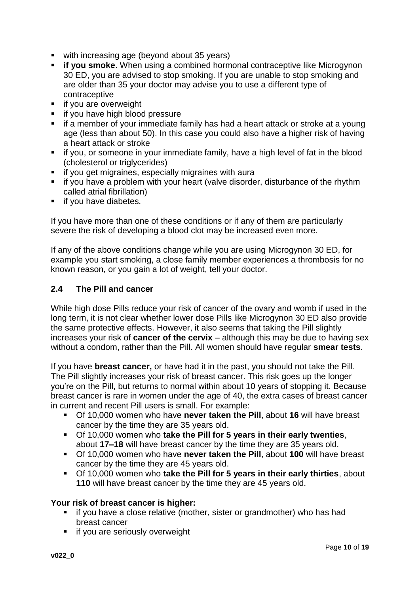- with increasing age (beyond about 35 years)
- **if you smoke**. When using a combined hormonal contraceptive like Microgynon 30 ED, you are advised to stop smoking. If you are unable to stop smoking and are older than 35 your doctor may advise you to use a different type of contraceptive
- **if you are overweight**
- **if you have high blood pressure**
- if a member of your immediate family has had a heart attack or stroke at a young age (less than about 50). In this case you could also have a higher risk of having a heart attack or stroke
- if you, or someone in your immediate family, have a high level of fat in the blood (cholesterol or triglycerides)
- **if you get migraines, especially migraines with aurally**
- if you have a problem with your heart (valve disorder, disturbance of the rhythm called atrial fibrillation)
- **if you have diabetes.**

If you have more than one of these conditions or if any of them are particularly severe the risk of developing a blood clot may be increased even more.

If any of the above conditions change while you are using Microgynon 30 ED, for example you start smoking, a close family member experiences a thrombosis for no known reason, or you gain a lot of weight, tell your doctor.

### **2.4 The Pill and cancer**

While high dose Pills reduce your risk of cancer of the ovary and womb if used in the long term, it is not clear whether lower dose Pills like Microgynon 30 ED also provide the same protective effects. However, it also seems that taking the Pill slightly increases your risk of **cancer of the cervix** – although this may be due to having sex without a condom, rather than the Pill. All women should have regular **smear tests**.

If you have **breast cancer,** or have had it in the past, you should not take the Pill. The Pill slightly increases your risk of breast cancer. This risk goes up the longer you're on the Pill, but returns to normal within about 10 years of stopping it. Because breast cancer is rare in women under the age of 40, the extra cases of breast cancer in current and recent Pill users is small. For example:

- Of 10,000 women who have **never taken the Pill**, about **16** will have breast cancer by the time they are 35 years old.
- Of 10,000 women who **take the Pill for 5 years in their early twenties**, about **17–18** will have breast cancer by the time they are 35 years old.
- Of 10,000 women who have **never taken the Pill**, about **100** will have breast cancer by the time they are 45 years old.
- Of 10,000 women who **take the Pill for 5 years in their early thirties**, about **110** will have breast cancer by the time they are 45 years old.

#### **Your risk of breast cancer is higher:**

- **i** if you have a close relative (mother, sister or grandmother) who has had breast cancer
- **if you are seriously overweight**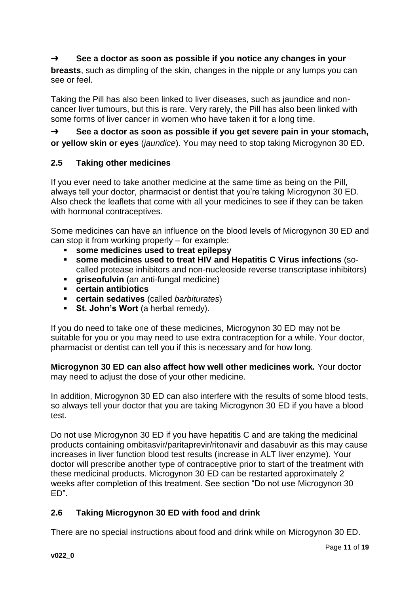# ➜ **See a doctor as soon as possible if you notice any changes in your**

**breasts**, such as dimpling of the skin, changes in the nipple or any lumps you can see or feel.

Taking the Pill has also been linked to liver diseases, such as jaundice and noncancer liver tumours, but this is rare. Very rarely, the Pill has also been linked with some forms of liver cancer in women who have taken it for a long time.

➜ **See a doctor as soon as possible if you get severe pain in your stomach, or yellow skin or eyes** (*jaundice*). You may need to stop taking Microgynon 30 ED.

## **2.5 Taking other medicines**

If you ever need to take another medicine at the same time as being on the Pill, always tell your doctor, pharmacist or dentist that you're taking Microgynon 30 ED. Also check the leaflets that come with all your medicines to see if they can be taken with hormonal contraceptives.

Some medicines can have an influence on the blood levels of Microgynon 30 ED and can stop it from working properly – for example:

- **some medicines used to treat epilepsy**
- **some medicines used to treat HIV and Hepatitis C Virus infections** (socalled protease inhibitors and non-nucleoside reverse transcriptase inhibitors)
- **griseofulvin** (an anti-fungal medicine)<br>**certain antibiotics**
- **certain antibiotics**
- **certain sedatives** (called *barbiturates*)
- **St. John's Wort** (a herbal remedy).

If you do need to take one of these medicines, Microgynon 30 ED may not be suitable for you or you may need to use extra contraception for a while. Your doctor, pharmacist or dentist can tell you if this is necessary and for how long.

**Microgynon 30 ED can also affect how well other medicines work.** Your doctor may need to adjust the dose of your other medicine.

In addition, Microgynon 30 ED can also interfere with the results of some blood tests, so always tell your doctor that you are taking Microgynon 30 ED if you have a blood test.

Do not use Microgynon 30 ED if you have hepatitis C and are taking the medicinal products containing ombitasvir/paritaprevir/ritonavir and dasabuvir as this may cause increases in liver function blood test results (increase in ALT liver enzyme). Your doctor will prescribe another type of contraceptive prior to start of the treatment with these medicinal products. Microgynon 30 ED can be restarted approximately 2 weeks after completion of this treatment. See section "Do not use Microgynon 30 ED".

# **2.6 Taking Microgynon 30 ED with food and drink**

There are no special instructions about food and drink while on Microgynon 30 ED.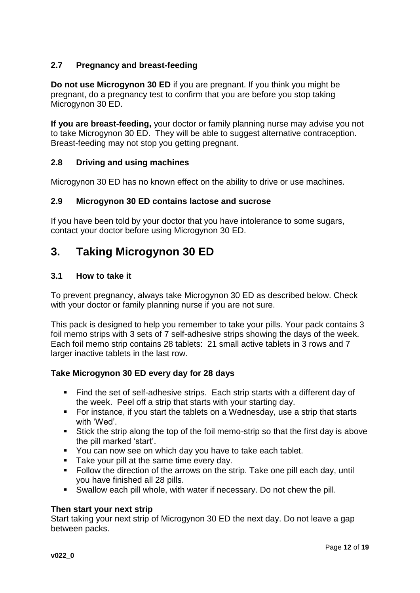## **2.7 Pregnancy and breast-feeding**

**Do not use Microgynon 30 ED** if you are pregnant. If you think you might be pregnant, do a pregnancy test to confirm that you are before you stop taking Microgynon 30 ED.

**If you are breast-feeding,** your doctor or family planning nurse may advise you not to take Microgynon 30 ED. They will be able to suggest alternative contraception. Breast-feeding may not stop you getting pregnant.

## **2.8 Driving and using machines**

Microgynon 30 ED has no known effect on the ability to drive or use machines.

#### **2.9 Microgynon 30 ED contains lactose and sucrose**

If you have been told by your doctor that you have intolerance to some sugars, contact your doctor before using Microgynon 30 ED.

# **3. Taking Microgynon 30 ED**

#### **3.1 How to take it**

To prevent pregnancy, always take Microgynon 30 ED as described below. Check with your doctor or family planning nurse if you are not sure.

This pack is designed to help you remember to take your pills. Your pack contains 3 foil memo strips with 3 sets of 7 self-adhesive strips showing the days of the week. Each foil memo strip contains 28 tablets: 21 small active tablets in 3 rows and 7 larger inactive tablets in the last row.

### **Take Microgynon 30 ED every day for 28 days**

- Find the set of self-adhesive strips. Each strip starts with a different day of the week. Peel off a strip that starts with your starting day.
- For instance, if you start the tablets on a Wednesday, use a strip that starts with 'Wed'.
- Stick the strip along the top of the foil memo-strip so that the first day is above the pill marked 'start'.
- You can now see on which day you have to take each tablet.
- Take your pill at the same time every day.
- Follow the direction of the arrows on the strip. Take one pill each day, until you have finished all 28 pills.
- Swallow each pill whole, with water if necessary. Do not chew the pill.

### **Then start your next strip**

Start taking your next strip of Microgynon 30 ED the next day. Do not leave a gap between packs.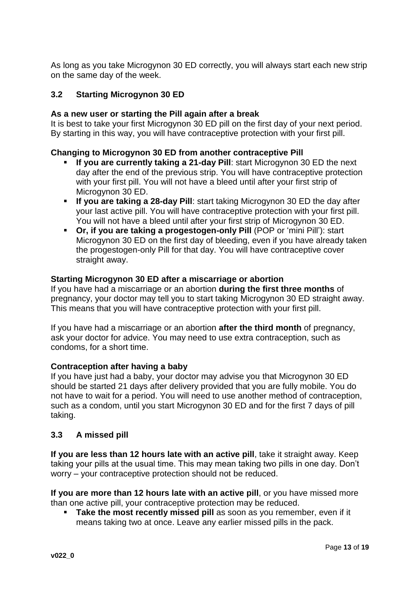As long as you take Microgynon 30 ED correctly, you will always start each new strip on the same day of the week.

## **3.2 Starting Microgynon 30 ED**

### **As a new user or starting the Pill again after a break**

It is best to take your first Microgynon 30 ED pill on the first day of your next period. By starting in this way, you will have contraceptive protection with your first pill.

### **Changing to Microgynon 30 ED from another contraceptive Pill**

- **If you are currently taking a 21-day Pill**: start Microgynon 30 ED the next day after the end of the previous strip. You will have contraceptive protection with your first pill. You will not have a bleed until after your first strip of Microgynon 30 ED.
- **If you are taking a 28-day Pill**: start taking Microgynon 30 ED the day after your last active pill. You will have contraceptive protection with your first pill. You will not have a bleed until after your first strip of Microgynon 30 ED.
- **Or, if you are taking a progestogen-only Pill** (POP or 'mini Pill'): start Microgynon 30 ED on the first day of bleeding, even if you have already taken the progestogen-only Pill for that day. You will have contraceptive cover straight away.

#### **Starting Microgynon 30 ED after a miscarriage or abortion**

If you have had a miscarriage or an abortion **during the first three months** of pregnancy, your doctor may tell you to start taking Microgynon 30 ED straight away. This means that you will have contraceptive protection with your first pill.

If you have had a miscarriage or an abortion **after the third month** of pregnancy, ask your doctor for advice. You may need to use extra contraception, such as condoms, for a short time.

### **Contraception after having a baby**

If you have just had a baby, your doctor may advise you that Microgynon 30 ED should be started 21 days after delivery provided that you are fully mobile. You do not have to wait for a period. You will need to use another method of contraception, such as a condom, until you start Microgynon 30 ED and for the first 7 days of pill taking.

### **3.3 A missed pill**

**If you are less than 12 hours late with an active pill**, take it straight away. Keep taking your pills at the usual time. This may mean taking two pills in one day. Don't worry – your contraceptive protection should not be reduced.

**If you are more than 12 hours late with an active pill**, or you have missed more than one active pill, your contraceptive protection may be reduced.

 **Take the most recently missed pill** as soon as you remember, even if it means taking two at once. Leave any earlier missed pills in the pack.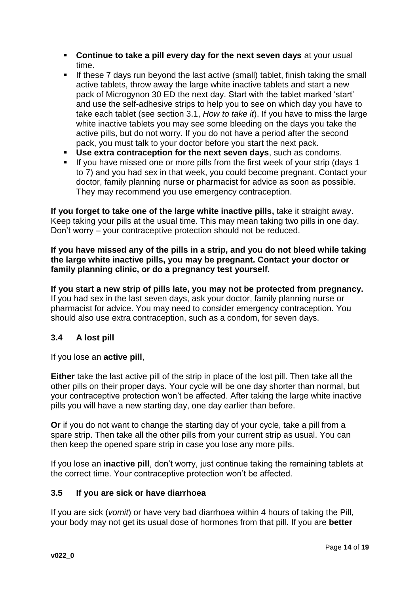- **Continue to take a pill every day for the next seven days** at your usual time.
- **If these 7 days run beyond the last active (small) tablet, finish taking the small** active tablets, throw away the large white inactive tablets and start a new pack of Microgynon 30 ED the next day. Start with the tablet marked 'start' and use the self-adhesive strips to help you to see on which day you have to take each tablet (see section 3.1, *How to take it*). If you have to miss the large white inactive tablets you may see some bleeding on the days you take the active pills, but do not worry. If you do not have a period after the second pack, you must talk to your doctor before you start the next pack.
- **Use extra contraception for the next seven days**, such as condoms.
- If you have missed one or more pills from the first week of your strip (days 1 to 7) and you had sex in that week, you could become pregnant. Contact your doctor, family planning nurse or pharmacist for advice as soon as possible. They may recommend you use emergency contraception.

**If you forget to take one of the large white inactive pills,** take it straight away. Keep taking your pills at the usual time. This may mean taking two pills in one day. Don't worry – your contraceptive protection should not be reduced.

**If you have missed any of the pills in a strip, and you do not bleed while taking the large white inactive pills, you may be pregnant. Contact your doctor or family planning clinic, or do a pregnancy test yourself.**

**If you start a new strip of pills late, you may not be protected from pregnancy.**  If you had sex in the last seven days, ask your doctor, family planning nurse or pharmacist for advice. You may need to consider emergency contraception. You should also use extra contraception, such as a condom, for seven days.

# **3.4 A lost pill**

If you lose an **active pill**,

**Either** take the last active pill of the strip in place of the lost pill. Then take all the other pills on their proper days. Your cycle will be one day shorter than normal, but your contraceptive protection won't be affected. After taking the large white inactive pills you will have a new starting day, one day earlier than before.

**Or** if you do not want to change the starting day of your cycle, take a pill from a spare strip. Then take all the other pills from your current strip as usual. You can then keep the opened spare strip in case you lose any more pills.

If you lose an **inactive pill**, don't worry, just continue taking the remaining tablets at the correct time. Your contraceptive protection won't be affected.

## **3.5 If you are sick or have diarrhoea**

If you are sick (*vomit*) or have very bad diarrhoea within 4 hours of taking the Pill, your body may not get its usual dose of hormones from that pill. If you are **better**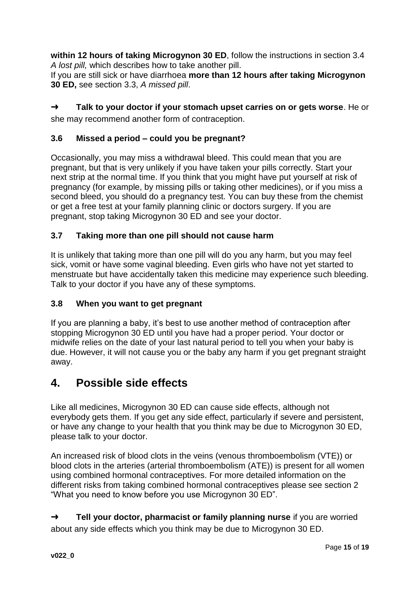**within 12 hours of taking Microgynon 30 ED**, follow the instructions in section 3.4 *A lost pill,* which describes how to take another pill.

If you are still sick or have diarrhoea **more than 12 hours after taking Microgynon 30 ED,** see section 3.3, *A missed pill*.

➜ **Talk to your doctor if your stomach upset carries on or gets worse**. He or she may recommend another form of contraception.

# **3.6 Missed a period – could you be pregnant?**

Occasionally, you may miss a withdrawal bleed. This could mean that you are pregnant, but that is very unlikely if you have taken your pills correctly. Start your next strip at the normal time. If you think that you might have put yourself at risk of pregnancy (for example, by missing pills or taking other medicines), or if you miss a second bleed, you should do a pregnancy test. You can buy these from the chemist or get a free test at your family planning clinic or doctors surgery. If you are pregnant, stop taking Microgynon 30 ED and see your doctor.

# **3.7 Taking more than one pill should not cause harm**

It is unlikely that taking more than one pill will do you any harm, but you may feel sick, vomit or have some vaginal bleeding. Even girls who have not yet started to menstruate but have accidentally taken this medicine may experience such bleeding. Talk to your doctor if you have any of these symptoms.

# **3.8 When you want to get pregnant**

If you are planning a baby, it's best to use another method of contraception after stopping Microgynon 30 ED until you have had a proper period. Your doctor or midwife relies on the date of your last natural period to tell you when your baby is due. However, it will not cause you or the baby any harm if you get pregnant straight away.

# **4. Possible side effects**

Like all medicines, Microgynon 30 ED can cause side effects, although not everybody gets them. If you get any side effect, particularly if severe and persistent, or have any change to your health that you think may be due to Microgynon 30 ED, please talk to your doctor.

An increased risk of blood clots in the veins (venous thromboembolism (VTE)) or blood clots in the arteries (arterial thromboembolism (ATE)) is present for all women using combined hormonal contraceptives. For more detailed information on the different risks from taking combined hormonal contraceptives please see section 2 "What you need to know before you use Microgynon 30 ED".

➜ **Tell your doctor, pharmacist or family planning nurse** if you are worried about any side effects which you think may be due to Microgynon 30 ED.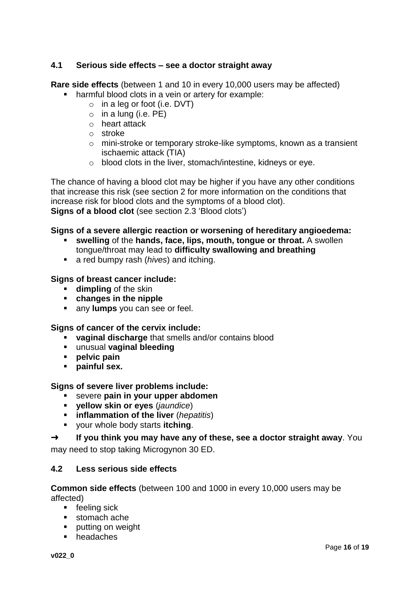## **4.1 Serious side effects – see a doctor straight away**

**Rare side effects** (between 1 and 10 in every 10,000 users may be affected)

- **harmful blood clots in a vein or artery for example:** 
	- $\circ$  in a leg or foot (i.e. DVT)
	- $\circ$  in a lung (i.e. PE)
	- o heart attack
	- o stroke
	- o mini-stroke or temporary stroke-like symptoms, known as a transient ischaemic attack (TIA)
	- o blood clots in the liver, stomach/intestine, kidneys or eye.

The chance of having a blood clot may be higher if you have any other conditions that increase this risk (see section 2 for more information on the conditions that increase risk for blood clots and the symptoms of a blood clot). **Signs of a blood clot** (see section 2.3 'Blood clots')

### **Signs of a severe allergic reaction or worsening of hereditary angioedema:**

- **swelling** of the **hands, face, lips, mouth, tongue or throat.** A swollen tongue/throat may lead to **difficulty swallowing and breathing**
- a red bumpy rash (*hives*) and itching.

### **Signs of breast cancer include:**

- **dimpling** of the skin
- **changes in the nipple**
- **any lumps** you can see or feel.

#### **Signs of cancer of the cervix include:**

- **vaginal discharge** that smells and/or contains blood
- unusual **vaginal bleeding**
- **pelvic pain**
- **painful sex.**

### **Signs of severe liver problems include:**

- severe **pain in your upper abdomen**
- **yellow skin or eyes** (*jaundice*)
- **inflammation of the liver** (*hepatitis*)
- your whole body starts **itching**.

## ➜ **If you think you may have any of these, see a doctor straight away**. You

may need to stop taking Microgynon 30 ED.

### **4.2 Less serious side effects**

### **Common side effects** (between 100 and 1000 in every 10,000 users may be affected)

- **Figure 1** feeling sick
- **stomach ache**
- **putting on weight**
- **headaches**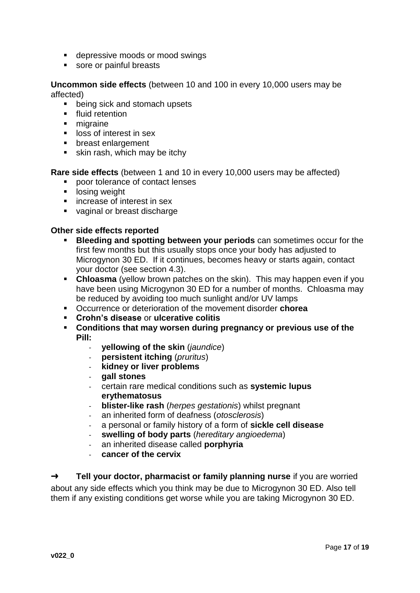- **depressive moods or mood swings**
- sore or painful breasts

**Uncommon side effects** (between 10 and 100 in every 10,000 users may be affected)

- **being sick and stomach upsets**
- **fluid retention**
- **nigraine**
- **If** loss of interest in sex
- **•** breast enlargement
- **skin rash, which may be itchy**

**Rare side effects** (between 1 and 10 in every 10,000 users may be affected)

- **poor tolerance of contact lenses**
- **If** losing weight
- **EXE** increase of interest in sex
- vaginal or breast discharge

## **Other side effects reported**

- **Bleeding and spotting between your periods** can sometimes occur for the first few months but this usually stops once your body has adjusted to Microgynon 30 ED. If it continues, becomes heavy or starts again, contact your doctor (see section 4.3).
- **Chloasma** (yellow brown patches on the skin). This may happen even if you have been using Microgynon 30 ED for a number of months. Chloasma may be reduced by avoiding too much sunlight and/or UV lamps
- Occurrence or deterioration of the movement disorder **chorea**
- **Crohn's disease** or **ulcerative colitis**
- **Conditions that may worsen during pregnancy or previous use of the Pill:**
	- **yellowing of the skin** (*jaundice*)
	- **persistent itching** (*pruritus*)
	- **kidney or liver problems**
	- **gall stones**
	- certain rare medical conditions such as **systemic lupus erythematosus**
	- **blister-like rash** (*herpes gestationis*) whilst pregnant
	- an inherited form of deafness (*otosclerosis*)
	- a personal or family history of a form of **sickle cell disease**
	- **swelling of body parts** (*hereditary angioedema*)
	- an inherited disease called **porphyria**
	- cancer of the cervix

➜ **Tell your doctor, pharmacist or family planning nurse** if you are worried about any side effects which you think may be due to Microgynon 30 ED. Also tell them if any existing conditions get worse while you are taking Microgynon 30 ED.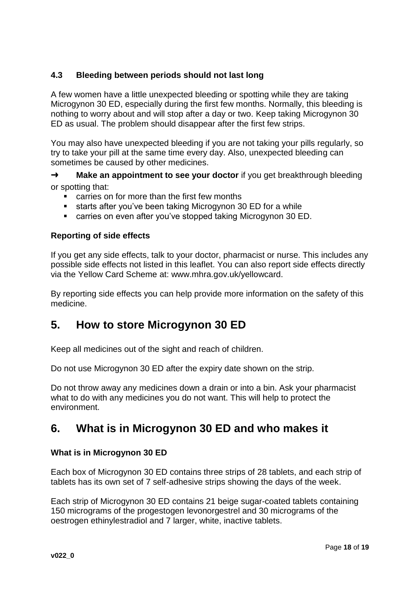# **4.3 Bleeding between periods should not last long**

A few women have a little unexpected bleeding or spotting while they are taking Microgynon 30 ED, especially during the first few months. Normally, this bleeding is nothing to worry about and will stop after a day or two. Keep taking Microgynon 30 ED as usual. The problem should disappear after the first few strips.

You may also have unexpected bleeding if you are not taking your pills regularly, so try to take your pill at the same time every day. Also, unexpected bleeding can sometimes be caused by other medicines.

**→ Make an appointment to see your doctor** if you get breakthrough bleeding or spotting that:

- carries on for more than the first few months
- starts after you've been taking Microgynon 30 ED for a while
- carries on even after you've stopped taking Microgynon 30 ED.

### **Reporting of side effects**

If you get any side effects, talk to your doctor, pharmacist or nurse. This includes any possible side effects not listed in this leaflet. You can also report side effects directly via the Yellow Card Scheme at: www.mhra.gov.uk/yellowcard.

By reporting side effects you can help provide more information on the safety of this medicine.

# **5. How to store Microgynon 30 ED**

Keep all medicines out of the sight and reach of children.

Do not use Microgynon 30 ED after the expiry date shown on the strip.

Do not throw away any medicines down a drain or into a bin. Ask your pharmacist what to do with any medicines you do not want. This will help to protect the environment.

# **6. What is in Microgynon 30 ED and who makes it**

### **What is in Microgynon 30 ED**

Each box of Microgynon 30 ED contains three strips of 28 tablets, and each strip of tablets has its own set of 7 self-adhesive strips showing the days of the week.

Each strip of Microgynon 30 ED contains 21 beige sugar-coated tablets containing 150 micrograms of the progestogen levonorgestrel and 30 micrograms of the oestrogen ethinylestradiol and 7 larger, white, inactive tablets.